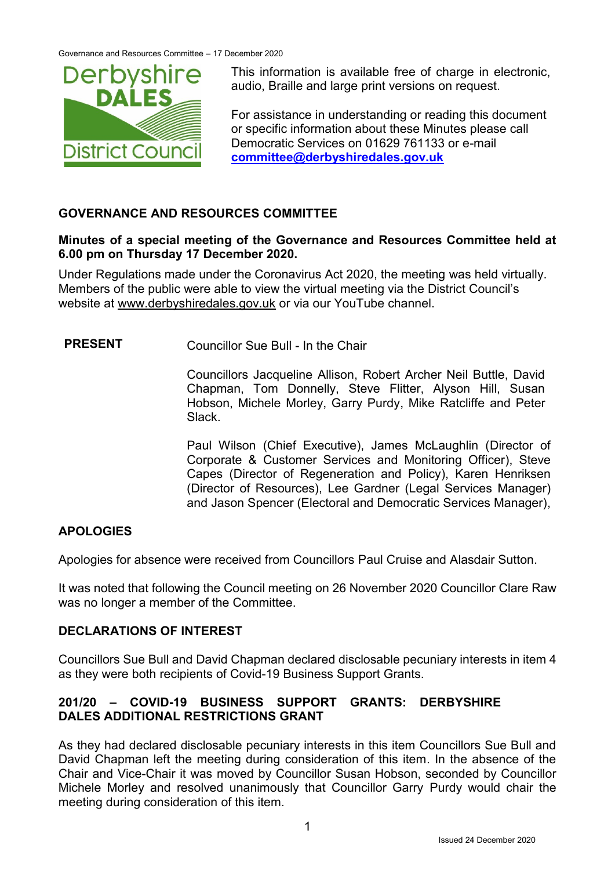

This information is available free of charge in electronic, audio, Braille and large print versions on request.

For assistance in understanding or reading this document or specific information about these Minutes please call Democratic Services on 01629 761133 or e-mail **[committee@derbyshiredales.gov.uk](mailto:committee@derbyshiredales.gov.uk)**

# **GOVERNANCE AND RESOURCES COMMITTEE**

#### **Minutes of a special meeting of the Governance and Resources Committee held at 6.00 pm on Thursday 17 December 2020.**

Under Regulations made under the Coronavirus Act 2020, the meeting was held virtually. Members of the public were able to view the virtual meeting via the District Council's website at [www.derbyshiredales.gov.uk](http://www.derbyshiredales.gov.uk/) or via our YouTube channel.

**PRESENT** Councillor Sue Bull - In the Chair

Councillors Jacqueline Allison, Robert Archer Neil Buttle, David Chapman, Tom Donnelly, Steve Flitter, Alyson Hill, Susan Hobson, Michele Morley, Garry Purdy, Mike Ratcliffe and Peter Slack.

Paul Wilson (Chief Executive), James McLaughlin (Director of Corporate & Customer Services and Monitoring Officer), Steve Capes (Director of Regeneration and Policy), Karen Henriksen (Director of Resources), Lee Gardner (Legal Services Manager) and Jason Spencer (Electoral and Democratic Services Manager),

# **APOLOGIES**

Apologies for absence were received from Councillors Paul Cruise and Alasdair Sutton.

It was noted that following the Council meeting on 26 November 2020 Councillor Clare Raw was no longer a member of the Committee.

# **DECLARATIONS OF INTEREST**

Councillors Sue Bull and David Chapman declared disclosable pecuniary interests in item 4 as they were both recipients of Covid-19 Business Support Grants.

# **201/20 – COVID-19 BUSINESS SUPPORT GRANTS: DERBYSHIRE DALES ADDITIONAL RESTRICTIONS GRANT**

As they had declared disclosable pecuniary interests in this item Councillors Sue Bull and David Chapman left the meeting during consideration of this item. In the absence of the Chair and Vice-Chair it was moved by Councillor Susan Hobson, seconded by Councillor Michele Morley and resolved unanimously that Councillor Garry Purdy would chair the meeting during consideration of this item.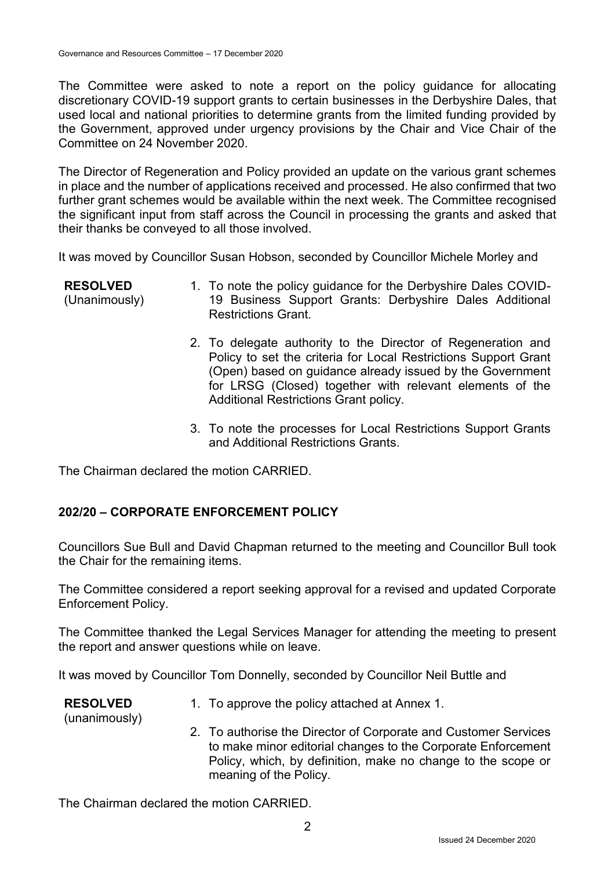The Committee were asked to note a report on the policy guidance for allocating discretionary COVID-19 support grants to certain businesses in the Derbyshire Dales, that used local and national priorities to determine grants from the limited funding provided by the Government, approved under urgency provisions by the Chair and Vice Chair of the Committee on 24 November 2020.

The Director of Regeneration and Policy provided an update on the various grant schemes in place and the number of applications received and processed. He also confirmed that two further grant schemes would be available within the next week. The Committee recognised the significant input from staff across the Council in processing the grants and asked that their thanks be conveyed to all those involved.

It was moved by Councillor Susan Hobson, seconded by Councillor Michele Morley and

| <b>RESOLVED</b> | 1. To note the policy guidance for the Derbyshire Dales COVID- |
|-----------------|----------------------------------------------------------------|
| (Unanimously)   | 19 Business Support Grants: Derbyshire Dales Additional        |
|                 | <b>Restrictions Grant.</b>                                     |

- 2. To delegate authority to the Director of Regeneration and Policy to set the criteria for Local Restrictions Support Grant (Open) based on guidance already issued by the Government for LRSG (Closed) together with relevant elements of the Additional Restrictions Grant policy.
- 3. To note the processes for Local Restrictions Support Grants and Additional Restrictions Grants.

The Chairman declared the motion CARRIED.

# **202/20 – CORPORATE ENFORCEMENT POLICY**

Councillors Sue Bull and David Chapman returned to the meeting and Councillor Bull took the Chair for the remaining items.

The Committee considered a report seeking approval for a revised and updated Corporate Enforcement Policy.

The Committee thanked the Legal Services Manager for attending the meeting to present the report and answer questions while on leave.

It was moved by Councillor Tom Donnelly, seconded by Councillor Neil Buttle and

**RESOLVED**

1. To approve the policy attached at Annex 1.

(unanimously)

2. To authorise the Director of Corporate and Customer Services to make minor editorial changes to the Corporate Enforcement Policy, which, by definition, make no change to the scope or meaning of the Policy.

The Chairman declared the motion CARRIED.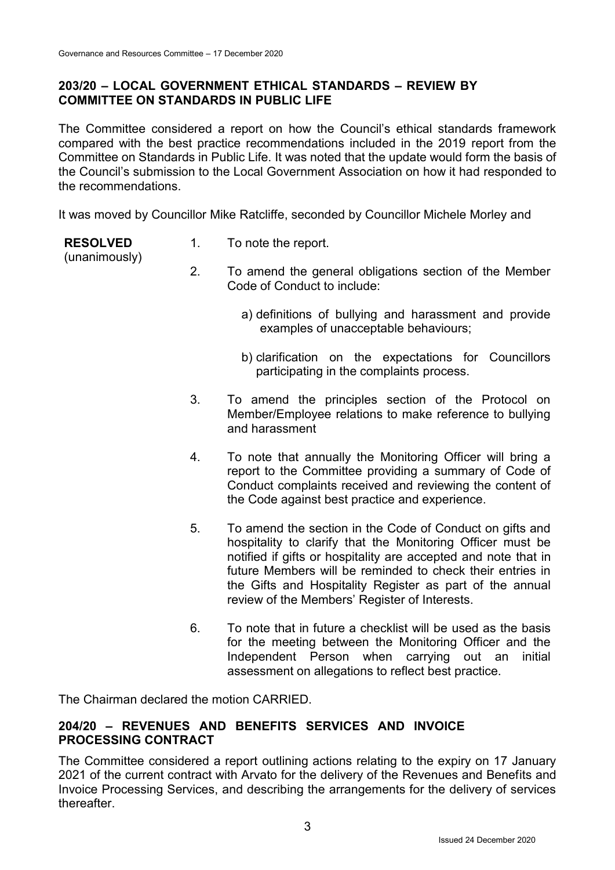### **203/20 – LOCAL GOVERNMENT ETHICAL STANDARDS – REVIEW BY COMMITTEE ON STANDARDS IN PUBLIC LIFE**

The Committee considered a report on how the Council's ethical standards framework compared with the best practice recommendations included in the 2019 report from the Committee on Standards in Public Life. It was noted that the update would form the basis of the Council's submission to the Local Government Association on how it had responded to the recommendations.

It was moved by Councillor Mike Ratcliffe, seconded by Councillor Michele Morley and

**RESOLVED**

1. To note the report.

- (unanimously)
- 2. To amend the general obligations section of the Member
	- Code of Conduct to include:
		- a) definitions of bullying and harassment and provide examples of unacceptable behaviours;
		- b) clarification on the expectations for Councillors participating in the complaints process.
- 3. To amend the principles section of the Protocol on Member/Employee relations to make reference to bullying and harassment
- 4. To note that annually the Monitoring Officer will bring a report to the Committee providing a summary of Code of Conduct complaints received and reviewing the content of the Code against best practice and experience.
- 5. To amend the section in the Code of Conduct on gifts and hospitality to clarify that the Monitoring Officer must be notified if gifts or hospitality are accepted and note that in future Members will be reminded to check their entries in the Gifts and Hospitality Register as part of the annual review of the Members' Register of Interests.
- 6. To note that in future a checklist will be used as the basis for the meeting between the Monitoring Officer and the Independent Person when carrying out an initial assessment on allegations to reflect best practice.

The Chairman declared the motion CARRIED.

### **204/20 – REVENUES AND BENEFITS SERVICES AND INVOICE PROCESSING CONTRACT**

The Committee considered a report outlining actions relating to the expiry on 17 January 2021 of the current contract with Arvato for the delivery of the Revenues and Benefits and Invoice Processing Services, and describing the arrangements for the delivery of services thereafter.